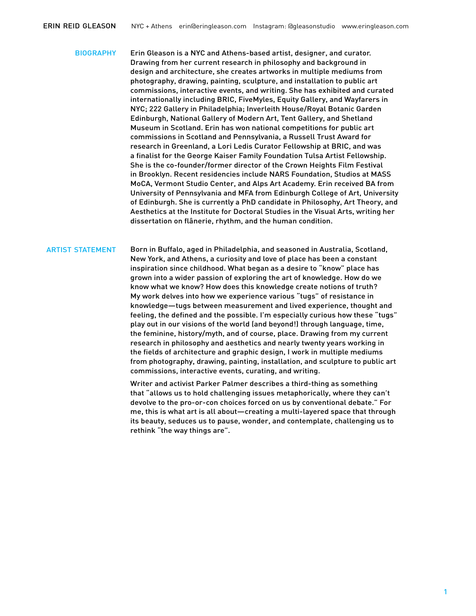biography Erin Gleason is a NYC and Athens-based artist, designer, and curator. Drawing from her current research in philosophy and background in design and architecture, she creates artworks in multiple mediums from photography, drawing, painting, sculpture, and installation to public art commissions, interactive events, and writing. She has exhibited and curated internationally including BRIC, FiveMyles, Equity Gallery, and Wayfarers in NYC; 222 Gallery in Philadelphia; Inverleith House/Royal Botanic Garden Edinburgh, National Gallery of Modern Art, Tent Gallery, and Shetland Museum in Scotland. Erin has won national competitions for public art commissions in Scotland and Pennsylvania, a Russell Trust Award for research in Greenland, a Lori Ledis Curator Fellowship at BRIC, and was a finalist for the George Kaiser Family Foundation Tulsa Artist Fellowship. She is the co-founder/former director of the Crown Heights Film Festival in Brooklyn. Recent residencies include NARS Foundation, Studios at MASS MoCA, Vermont Studio Center, and Alps Art Academy. Erin received BA from University of Pennsylvania and MFA from Edinburgh College of Art, University of Edinburgh. She is currently a PhD candidate in Philosophy, Art Theory, and Aesthetics at the Institute for Doctoral Studies in the Visual Arts, writing her dissertation on flânerie, rhythm, and the human condition.

ARTIST STATEMENT Born in Buffalo, aged in Philadelphia, and seasoned in Australia, Scotland, New York, and Athens, a curiosity and love of place has been a constant inspiration since childhood. What began as a desire to "know" place has grown into a wider passion of exploring the art of knowledge. How do we know what we know? How does this knowledge create notions of truth? My work delves into how we experience various "tugs" of resistance in knowledge—tugs between measurement and lived experience, thought and feeling, the defined and the possible. I'm especially curious how these "tugs" play out in our visions of the world (and beyond!) through language, time, the feminine, history/myth, and of course, place. Drawing from my current research in philosophy and aesthetics and nearly twenty years working in the fields of architecture and graphic design, I work in multiple mediums from photography, drawing, painting, installation, and sculpture to public art commissions, interactive events, curating, and writing.

> Writer and activist Parker Palmer describes a third-thing as something that "allows us to hold challenging issues metaphorically, where they can't devolve to the pro-or-con choices forced on us by conventional debate." For me, this is what art is all about—creating a multi-layered space that through its beauty, seduces us to pause, wonder, and contemplate, challenging us to rethink "the way things are".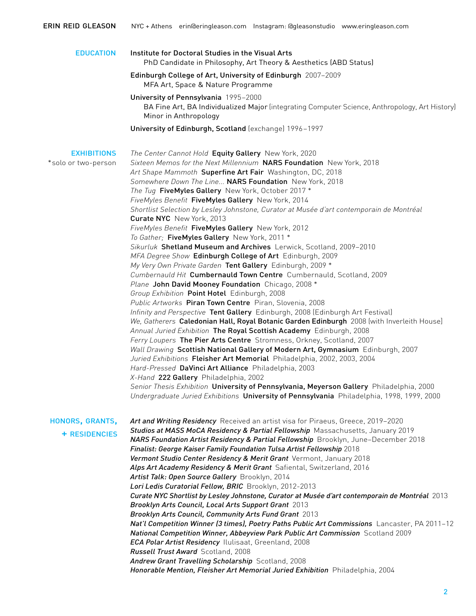| <b>EDUCATION</b>                          | Institute for Doctoral Studies in the Visual Arts<br>PhD Candidate in Philosophy, Art Theory & Aesthetics (ABD Status)                                                                                                                              |
|-------------------------------------------|-----------------------------------------------------------------------------------------------------------------------------------------------------------------------------------------------------------------------------------------------------|
|                                           | Edinburgh College of Art, University of Edinburgh 2007-2009<br>MFA Art, Space & Nature Programme                                                                                                                                                    |
|                                           | University of Pennsylvania 1995-2000<br>BA Fine Art, BA Individualized Major (integrating Computer Science, Anthropology, Art History)<br>Minor in Anthropology                                                                                     |
|                                           | University of Edinburgh, Scotland (exchange) 1996-1997                                                                                                                                                                                              |
| <b>EXHIBITIONS</b><br>*solo or two-person | The Center Cannot Hold Equity Gallery New York, 2020<br>Sixteen Memos for the Next Millennium NARS Foundation New York, 2018<br>Art Shape Mammoth Superfine Art Fair Washington, DC, 2018<br>Somewhere Down The Line NARS Foundation New York, 2018 |
|                                           | The Tug FiveMyles Gallery New York, October 2017 *                                                                                                                                                                                                  |
|                                           | FiveMyles Benefit FiveMyles Gallery New York, 2014                                                                                                                                                                                                  |
|                                           | Shortlist Selection by Lesley Johnstone, Curator at Musée d'art contemporain de Montréal<br>Curate NYC New York, 2013                                                                                                                               |
|                                           | FiveMyles Benefit FiveMyles Gallery New York, 2012                                                                                                                                                                                                  |
|                                           | To Gather; FiveMyles Gallery New York, 2011 *                                                                                                                                                                                                       |
|                                           | Sikurluk Shetland Museum and Archives Lerwick, Scotland, 2009-2010                                                                                                                                                                                  |
|                                           | MFA Degree Show Edinburgh College of Art Edinburgh, 2009                                                                                                                                                                                            |
|                                           | My Very Own Private Garden Tent Gallery Edinburgh, 2009 *                                                                                                                                                                                           |
|                                           | Cumbernauld Hit Cumbernauld Town Centre Cumbernauld, Scotland, 2009                                                                                                                                                                                 |
|                                           | Plane John David Mooney Foundation Chicago, 2008 *                                                                                                                                                                                                  |
|                                           | Group Exhibition Point Hotel Edinburgh, 2008<br>Public Artworks Piran Town Centre Piran, Slovenia, 2008                                                                                                                                             |
|                                           | Infinity and Perspective Tent Gallery Edinburgh, 2008 (Edinburgh Art Festival)                                                                                                                                                                      |
|                                           | We, Gatherers Caledonian Hall, Royal Botanic Garden Edinburgh 2008 (with Inverleith House]                                                                                                                                                          |
|                                           | Annual Juried Exhibition The Royal Scottish Academy Edinburgh, 2008                                                                                                                                                                                 |
|                                           | Ferry Loupers The Pier Arts Centre Stromness, Orkney, Scotland, 2007                                                                                                                                                                                |
|                                           | Wall Drawing Scottish National Gallery of Modern Art, Gymnasium Edinburgh, 2007                                                                                                                                                                     |
|                                           | Juried Exhibitions Fleisher Art Memorial Philadelphia, 2002, 2003, 2004                                                                                                                                                                             |
|                                           | Hard-Pressed DaVinci Art Alliance Philadelphia, 2003                                                                                                                                                                                                |
|                                           | X-Hand 222 Gallery Philadelphia, 2002                                                                                                                                                                                                               |
|                                           | Senior Thesis Exhibition University of Pennsylvania, Meyerson Gallery Philadelphia, 2000<br>Undergraduate Juried Exhibitions University of Pennsylvania Philadelphia, 1998, 1999, 2000                                                              |
| HONORS, GRANTS,                           | Art and Writing Residency Received an artist visa for Piraeus, Greece, 2019-2020                                                                                                                                                                    |
| <b>+ RESIDENCIES</b>                      | Studios at MASS MoCA Residency & Partial Fellowship Massachusetts, January 2019<br>NARS Foundation Artist Residency & Partial Fellowship Brooklyn, June-December 2018                                                                               |
|                                           | Finalist: George Kaiser Family Foundation Tulsa Artist Fellowship 2018<br>Vermont Studio Center Residency & Merit Grant Vermont, January 2018                                                                                                       |
|                                           | Alps Art Academy Residency & Merit Grant Safiental, Switzerland, 2016                                                                                                                                                                               |
|                                           | Artist Talk: Open Source Gallery Brooklyn, 2014                                                                                                                                                                                                     |
|                                           | Lori Ledis Curatorial Fellow, BRIC Brooklyn, 2012-2013                                                                                                                                                                                              |
|                                           | Curate NYC Shortlist by Lesley Johnstone, Curator at Musée d'art contemporain de Montréal 2013                                                                                                                                                      |
|                                           | Brooklyn Arts Council, Local Arts Support Grant 2013                                                                                                                                                                                                |
|                                           | Brooklyn Arts Council, Community Arts Fund Grant 2013                                                                                                                                                                                               |
|                                           | Nat'l Competition Winner (3 times), Poetry Paths Public Art Commissions Lancaster, PA 2011-12                                                                                                                                                       |
|                                           | National Competition Winner, Abbeyview Park Public Art Commission Scotland 2009                                                                                                                                                                     |
|                                           | <b>ECA Polar Artist Residency</b> Ilulisaat, Greenland, 2008                                                                                                                                                                                        |
|                                           | Russell Trust Award Scotland, 2008                                                                                                                                                                                                                  |
|                                           | Andrew Grant Travelling Scholarship Scotland, 2008<br>Honorable Mention, Fleisher Art Memorial Juried Exhibition Philadelphia, 2004                                                                                                                 |
|                                           |                                                                                                                                                                                                                                                     |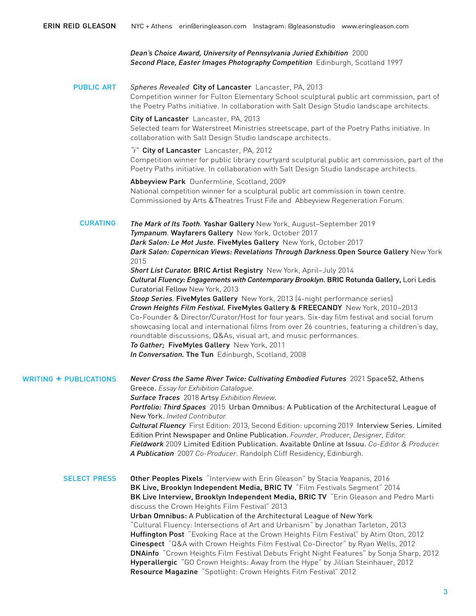*Dean's Choice Award, University of Pennsylvania Juried Exhibition* 2000 *Second Place, Easter Images Photography Competition* Edinburgh, Scotland 1997

**PUBLIC ART** *Spheres Revealed* City of Lancaster Lancaster, PA, 2013 Competition winner for Fulton Elementary School sculptural public art commission, part of the Poetry Paths initiative. In collaboration with Salt Design Studio landscape architects.

> City of Lancaster Lancaster, PA, 2013 Selected team for Waterstreet Ministries streetscape, part of the Poetry Paths initiative. In collaboration with Salt Design Studio landscape architects.

*"i"* City of Lancaster Lancaster, PA, 2012 Competition winner for public library courtyard sculptural public art commission, part of the Poetry Paths initiative. In collaboration with Salt Design Studio landscape architects.

Abbeyview Park Dunfermline, Scotland, 2009 National competition winner for a sculptural public art commission in town centre. Commissioned by Arts &Theatres Trust Fife and Abbeyview Regeneration Forum.

*The Mark of Its Tooth.* Yashar Gallery New York, August–September 2019 *Tympanum.* Wayfarers Gallery New York, October 2017 *Dark Salon: Le Mot Juste.* FiveMyles Gallery New York, October 2017 *Dark Salon: Copernican Views: Revelations Through Darkness.*Open Source Gallery New York 2015 *Short List Curator.* BRIC Artist RegistryNew York, April–July 2014 *Cultural Fluency: Engagements with Contemporary Brooklyn.* BRIC Rotunda Gallery, Lori Ledis Curatorial Fellow New York, 2013 **Stoop Series**. FiveMyles Gallery New York, 2013 (4-night performance series) *Crown Heights Film Festival.* FiveMyles Gallery & FREECANDY New York, 2010–2013 Co-Founder & Director/Curator/Host for four years. Six-day film festival and social forum showcasing local and international films from over 26 countries, featuring a children's day, roundtable discussions, Q&As, visual art, and music performances. *To Gather;* FiveMyles Gallery New York, 2011 *In Conversation.* The TunEdinburgh, Scotland, 2008 **CURATING** 

writing + publications *Never Cross the Same River Twice: Cultivating Embodied Futures* 2021 Space52, Athens Greece. *Essay for Exhibition Catalogue. Surface Traces* 2018 Artsy *Exhibition Review*. *Portfolio: Third Spaces* 2015 Urban Omnibus: A Publication of the Architectural League of New York. *Invited Contributor. Cultural Fluency* First Edition: 2013, Second Edition: upcoming 2019 Interview Series. Limited Edition Print Newspaper and Online Publication. *Founder, Producer, Designer, Editor. Fieldwork* 2009 Limited Edition Publication. Available Online at Issuu. *Co-Editor & Producer.*

SELECT PRESS Other Peoples Pixels "Interview with Erin Gleason" by Stacia Yeapanis, 2016 BK Live, Brooklyn Independent Media, BRIC TV "Film Festivals Segment" 2014 BK Live Interview, Brooklyn Independent Media, BRIC TV "Erin Gleason and Pedro Marti discuss the Crown Heights Film Festival" 2013 Urban Omnibus: A Publication of the Architectural League of New York "Cultural Fluency: Intersections of Art and Urbanism" by Jonathan Tarleton, 2013 Huffington Post "Evoking Race at the Crown Heights Film Festival" by Atim Oton, 2012 Cinespect "Q&A with Crown Heights Film Festival Co-Director" by Ryan Wells, 2012 DNAinfo "Crown Heights Film Festival Debuts Fright Night Features" by Sonja Sharp, 2012 Hyperallergic "GO Crown Heights: Away from the Hype" by Jillian Steinhauer, 2012 Resource Magazine "Spotlight: Crown Heights Film Festival" 2012

*A Publication* 2007 *Co-Producer*. Randolph Cliff Residency, Edinburgh.